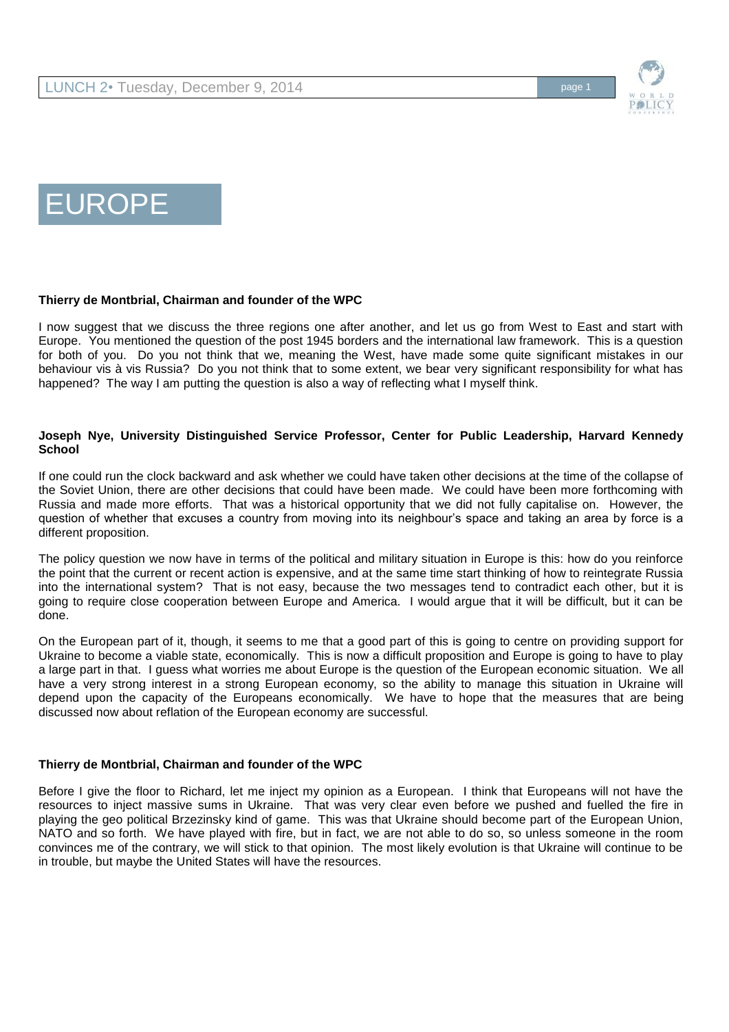

# EUROPE

# **Thierry de Montbrial, Chairman and founder of the WPC**

I now suggest that we discuss the three regions one after another, and let us go from West to East and start with Europe. You mentioned the question of the post 1945 borders and the international law framework. This is a question for both of you. Do you not think that we, meaning the West, have made some quite significant mistakes in our behaviour vis à vis Russia? Do you not think that to some extent, we bear very significant responsibility for what has happened? The way I am putting the question is also a way of reflecting what I myself think.

## **Joseph Nye, University Distinguished Service Professor, Center for Public Leadership, Harvard Kennedy School**

If one could run the clock backward and ask whether we could have taken other decisions at the time of the collapse of the Soviet Union, there are other decisions that could have been made. We could have been more forthcoming with Russia and made more efforts. That was a historical opportunity that we did not fully capitalise on. However, the question of whether that excuses a country from moving into its neighbour's space and taking an area by force is a different proposition.

The policy question we now have in terms of the political and military situation in Europe is this: how do you reinforce the point that the current or recent action is expensive, and at the same time start thinking of how to reintegrate Russia into the international system? That is not easy, because the two messages tend to contradict each other, but it is going to require close cooperation between Europe and America. I would argue that it will be difficult, but it can be done.

On the European part of it, though, it seems to me that a good part of this is going to centre on providing support for Ukraine to become a viable state, economically. This is now a difficult proposition and Europe is going to have to play a large part in that. I guess what worries me about Europe is the question of the European economic situation. We all have a very strong interest in a strong European economy, so the ability to manage this situation in Ukraine will depend upon the capacity of the Europeans economically. We have to hope that the measures that are being discussed now about reflation of the European economy are successful.

#### **Thierry de Montbrial, Chairman and founder of the WPC**

Before I give the floor to Richard, let me inject my opinion as a European. I think that Europeans will not have the resources to inject massive sums in Ukraine. That was very clear even before we pushed and fuelled the fire in playing the geo political Brzezinsky kind of game. This was that Ukraine should become part of the European Union, NATO and so forth. We have played with fire, but in fact, we are not able to do so, so unless someone in the room convinces me of the contrary, we will stick to that opinion. The most likely evolution is that Ukraine will continue to be in trouble, but maybe the United States will have the resources.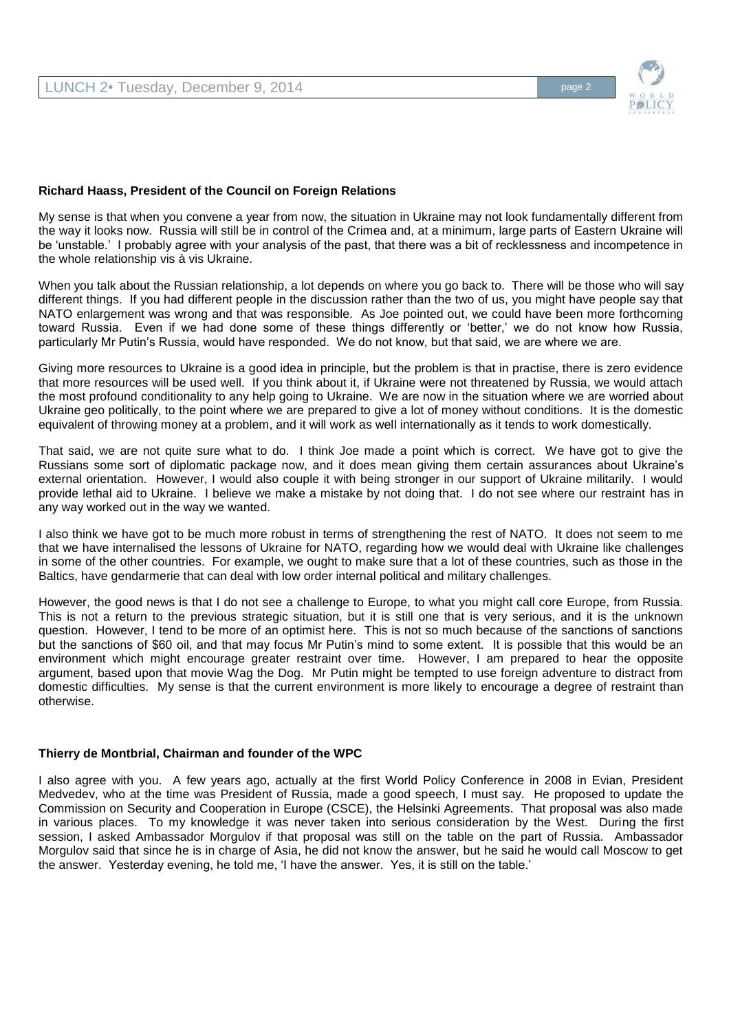

## **Richard Haass, President of the Council on Foreign Relations**

My sense is that when you convene a year from now, the situation in Ukraine may not look fundamentally different from the way it looks now. Russia will still be in control of the Crimea and, at a minimum, large parts of Eastern Ukraine will be 'unstable.' I probably agree with your analysis of the past, that there was a bit of recklessness and incompetence in the whole relationship vis à vis Ukraine.

When you talk about the Russian relationship, a lot depends on where you go back to. There will be those who will say different things. If you had different people in the discussion rather than the two of us, you might have people say that NATO enlargement was wrong and that was responsible. As Joe pointed out, we could have been more forthcoming toward Russia. Even if we had done some of these things differently or 'better,' we do not know how Russia, particularly Mr Putin's Russia, would have responded. We do not know, but that said, we are where we are.

Giving more resources to Ukraine is a good idea in principle, but the problem is that in practise, there is zero evidence that more resources will be used well. If you think about it, if Ukraine were not threatened by Russia, we would attach the most profound conditionality to any help going to Ukraine. We are now in the situation where we are worried about Ukraine geo politically, to the point where we are prepared to give a lot of money without conditions. It is the domestic equivalent of throwing money at a problem, and it will work as well internationally as it tends to work domestically.

That said, we are not quite sure what to do. I think Joe made a point which is correct. We have got to give the Russians some sort of diplomatic package now, and it does mean giving them certain assurances about Ukraine's external orientation. However, I would also couple it with being stronger in our support of Ukraine militarily. I would provide lethal aid to Ukraine. I believe we make a mistake by not doing that. I do not see where our restraint has in any way worked out in the way we wanted.

I also think we have got to be much more robust in terms of strengthening the rest of NATO. It does not seem to me that we have internalised the lessons of Ukraine for NATO, regarding how we would deal with Ukraine like challenges in some of the other countries. For example, we ought to make sure that a lot of these countries, such as those in the Baltics, have gendarmerie that can deal with low order internal political and military challenges.

However, the good news is that I do not see a challenge to Europe, to what you might call core Europe, from Russia. This is not a return to the previous strategic situation, but it is still one that is very serious, and it is the unknown question. However, I tend to be more of an optimist here. This is not so much because of the sanctions of sanctions but the sanctions of \$60 oil, and that may focus Mr Putin's mind to some extent. It is possible that this would be an environment which might encourage greater restraint over time. However, I am prepared to hear the opposite argument, based upon that movie Wag the Dog. Mr Putin might be tempted to use foreign adventure to distract from domestic difficulties. My sense is that the current environment is more likely to encourage a degree of restraint than otherwise.

#### **Thierry de Montbrial, Chairman and founder of the WPC**

I also agree with you. A few years ago, actually at the first World Policy Conference in 2008 in Evian, President Medvedev, who at the time was President of Russia, made a good speech, I must say. He proposed to update the Commission on Security and Cooperation in Europe (CSCE), the Helsinki Agreements. That proposal was also made in various places. To my knowledge it was never taken into serious consideration by the West. During the first session, I asked Ambassador Morgulov if that proposal was still on the table on the part of Russia. Ambassador Morgulov said that since he is in charge of Asia, he did not know the answer, but he said he would call Moscow to get the answer. Yesterday evening, he told me, 'I have the answer. Yes, it is still on the table.'